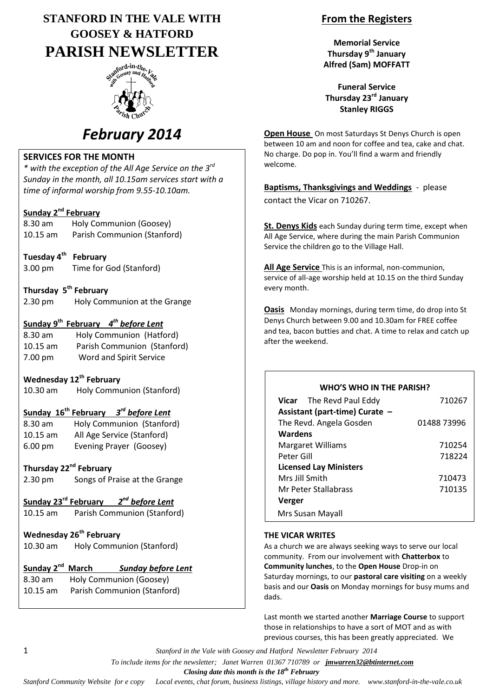# **STANFORD IN THE VALE WITH GOOSEY & HATFORD PARISH NEWSLETTER**



# *February 2014*

#### **SERVICES FOR THE MONTH**

*\* with the exception of the All Age Service on the 3rd Sunday in the month, all 10.15am services start with a time of informal worship from 9.55-10.10am.*

#### **Sunday 2 nd February**

| $8.30$ am  | Holy Communion (Goosey)     |
|------------|-----------------------------|
| $10.15$ am | Parish Communion (Stanford) |

- **Tuesday 4th February** 3.00 pm Time for God (Stanford)
- **Thursday 5 th February**
- 2.30 pm Holy Communion at the Grange

#### **Sunday 9th February** *4 th before Lent*

| 8.30 am    | Holy Communion (Hatford)    |
|------------|-----------------------------|
| $10.15$ am | Parish Communion (Stanford) |
| 7.00 pm    | Word and Spirit Service     |

## **Wednesday 12th February**

10.30 am Holy Communion (Stanford)

#### **Sunday 16th February** *3 rd before Lent*

| $8.30$ am         | Holy Communion (Stanford)  |
|-------------------|----------------------------|
| $10.15$ am        | All Age Service (Stanford) |
| $6.00 \text{ pm}$ | Evening Prayer (Goosey)    |

#### **Thursday 22nd February**

2.30 pm Songs of Praise at the Grange

### **Sunday 23rd February** *2 nd before Lent*

10.15 am Parish Communion (Stanford)

## **Wednesday 26th February**

10.30 am Holy Communion (Stanford)

## **Sunday 2nd March** *Sunday before Lent*

8.30 am Holy Communion (Goosey) 10.15 am Parish Communion (Stanford)

## **From the Registers**

**Memorial Service Thursday 9th January Alfred (Sam) MOFFATT**

**Funeral Service Thursday 23rd January Stanley RIGGS**

**Open House** On most Saturdays St Denys Church is open between 10 am and noon for coffee and tea, cake and chat. No charge. Do pop in. You'll find a warm and friendly welcome.

**Baptisms, Thanksgivings and Weddings** - please contact the Vicar on 710267.

**St. Denys Kids** each Sunday during term time, except when All Age Service, where during the main Parish Communion Service the children go to the Village Hall.

**All Age Service** This is an informal, non-communion, service of all-age worship held at 10.15 on the third Sunday every month.

**Oasis** Monday mornings, during term time, do drop into St Denys Church between 9.00 and 10.30am for FREE coffee and tea, bacon butties and chat. A time to relax and catch up after the weekend.

### **WHO'S WHO IN THE PARISH?**

| <b>Vicar</b> The Revd Paul Eddy | 710267      |
|---------------------------------|-------------|
| Assistant (part-time) Curate -  |             |
| The Revd. Angela Gosden         | 01488 73996 |
| Wardens                         |             |
| <b>Margaret Williams</b>        | 710254      |
| Peter Gill                      | 718224      |
| <b>Licensed Lay Ministers</b>   |             |
| Mrs Jill Smith                  | 710473      |
| Mr Peter Stallabrass            | 710135      |
| Verger                          |             |
| Mrs Susan Mayall                |             |

### **THE VICAR WRITES**

As a church we are always seeking ways to serve our local community. From our involvement with **Chatterbox** to **Community lunches**, to the **Open House** Drop-in on Saturday mornings, to our **pastoral care visiting** on a weekly basis and our **Oasis** on Monday mornings for busy mums and dads.

Last month we started another **Marriage Course** to support those in relationships to have a sort of MOT and as with previous courses, this has been greatly appreciated. We

1 *Stanford in the Vale with Goosey and Hatford Newsletter February 2014*

 *To include items for the newsletter; Janet Warren 01367 710789 or jmwarren32@btinternet.com*

 *Closing date this month is the 18th February*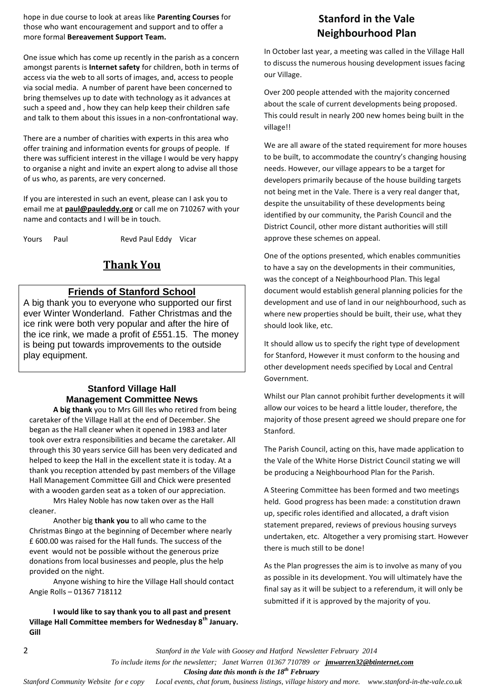hope in due course to look at areas like **Parenting Courses** for those who want encouragement and support and to offer a more formal **Bereavement Support Team.**

One issue which has come up recently in the parish as a concern amongst parents is **Internet safety** for children, both in terms of access via the web to all sorts of images, and, access to people via social media. A number of parent have been concerned to bring themselves up to date with technology as it advances at such a speed and , how they can help keep their children safe and talk to them about this issues in a non-confrontational way.

There are a number of charities with experts in this area who offer training and information events for groups of people. If there was sufficient interest in the village I would be very happy to organise a night and invite an expert along to advise all those of us who, as parents, are very concerned.

If you are interested in such an event, please can I ask you to email me at **[paul@pauleddy.org](mailto:paul@pauleddy.org)** or call me on 710267 with your name and contacts and I will be in touch.

Yours Paul Revd Paul Eddy Vicar

## **Thank You**

#### **Friends of Stanford School**

A big thank you to everyone who supported our first ever Winter Wonderland. Father Christmas and the ice rink were both very popular and after the hire of the ice rink, we made a profit of £551.15. The money is being put towards improvements to the outside play equipment.

#### **Stanford Village Hall Management Committee News**

**A big thank** you to Mrs Gill Iles who retired from being caretaker of the Village Hall at the end of December. She began as the Hall cleaner when it opened in 1983 and later took over extra responsibilities and became the caretaker. All through this 30 years service Gill has been very dedicated and helped to keep the Hall in the excellent state it is today. At a thank you reception attended by past members of the Village Hall Management Committee Gill and Chick were presented with a wooden garden seat as a token of our appreciation.

Mrs Haley Noble has now taken over as the Hall cleaner.

Another big **thank you** to all who came to the Christmas Bingo at the beginning of December where nearly £ 600.00 was raised for the Hall funds. The success of the event would not be possible without the generous prize donations from local businesses and people, plus the help provided on the night.

Anyone wishing to hire the Village Hall should contact Angie Rolls – 01367 718112

**I would like to say thank you to all past and present Village Hall Committee members for Wednesday 8th January. Gill**

## **Stanford in the Vale Neighbourhood Plan**

In October last year, a meeting was called in the Village Hall to discuss the numerous housing development issues facing our Village.

Over 200 people attended with the majority concerned about the scale of current developments being proposed. This could result in nearly 200 new homes being built in the village!!

We are all aware of the stated requirement for more houses to be built, to accommodate the country's changing housing needs. However, our village appears to be a target for developers primarily because of the house building targets not being met in the Vale. There is a very real danger that, despite the unsuitability of these developments being identified by our community, the Parish Council and the District Council, other more distant authorities will still approve these schemes on appeal.

One of the options presented, which enables communities to have a say on the developments in their communities, was the concept of a Neighbourhood Plan. This legal document would establish general planning policies for the development and use of land in our neighbourhood, such as where new properties should be built, their use, what they should look like, etc.

It should allow us to specify the right type of development for Stanford, However it must conform to the housing and other development needs specified by Local and Central Government.

Whilst our Plan cannot prohibit further developments it will allow our voices to be heard a little louder, therefore, the majority of those present agreed we should prepare one for Stanford.

The Parish Council, acting on this, have made application to the Vale of the White Horse District Council stating we will be producing a Neighbourhood Plan for the Parish.

A Steering Committee has been formed and two meetings held. Good progress has been made: a constitution drawn up, specific roles identified and allocated, a draft vision statement prepared, reviews of previous housing surveys undertaken, etc. Altogether a very promising start. However there is much still to be done!

As the Plan progresses the aim is to involve as many of you as possible in its development. You will ultimately have the final say as it will be subject to a referendum, it will only be submitted if it is approved by the majority of you.

2 *Stanford in the Vale with Goosey and Hatford Newsletter February 2014*

 *To include items for the newsletter; Janet Warren 01367 710789 or jmwarren32@btinternet.com*

 *Closing date this month is the 18th February*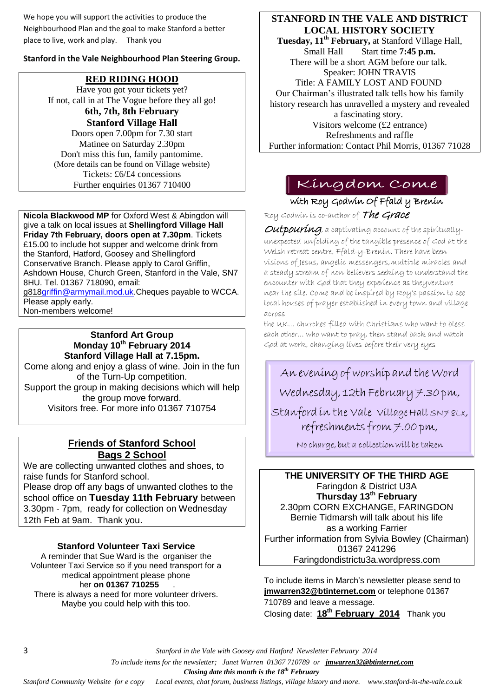We hope you will support the activities to produce the Neighbourhood Plan and the goal to make Stanford a better place to live, work and play. Thank you

#### **Stanford in the Vale Neighbourhood Plan Steering Group.**

## **RED RIDING HOOD**

Have you got your tickets yet? If not, call in at The Vogue before they all go!

> **6th, 7th, 8th February Stanford Village Hall**

Doors open 7.00pm for 7.30 start Matinee on Saturday 2.30pm Don't miss this fun, family pantomime. (More details can be found on Village website) Tickets: £6/£4 concessions Further enquiries 01367 710400

**Nicola Blackwood MP** for Oxford West & Abingdon will give a talk on local issues at **Shellingford Village Hall Friday 7th February, doors open at 7.30pm**. Tickets £15.00 to include hot supper and welcome drink from the Stanford, Hatford, Goosey and Shellingford Conservative Branch. Please apply to Carol Griffin, Ashdown House, Church Green, Stanford in the Vale, SN7 8HU. Tel. 01367 718090, email: g81[8griffin@armymail.mod.uk.](mailto:g818griffin@armymail.mod.uk)Cheques payable to WCCA.

Please apply early.

Non-members welcome!

#### **Stanford Art Group Monday 10th February 2014 Stanford Village Hall at 7.15pm.**

Come along and enjoy a glass of wine. Join in the fun of the Turn-Up competition. Support the group in making decisions which will help the group move forward. Visitors free. For more info 01367 710754

## **Friends of Stanford School Bags 2 School**

We are collecting unwanted clothes and shoes, to raise funds for Stanford school. Please drop off any bags of unwanted clothes to the school office on **Tuesday 11th February** between 3.30pm - 7pm, ready for collection on Wednesday 12th Feb at 9am. Thank you.

### **Stanford Volunteer Taxi Service**

A reminder that Sue Ward is the organiser the Volunteer Taxi Service so if you need transport for a medical appointment please phone her **on 01367 710255** . There is always a need for more volunteer drivers.

Maybe you could help with this too.

### **STANFORD IN THE VALE AND DISTRICT LOCAL HISTORY SOCIETY**

**Tuesday, 11<sup>th</sup> February, at Stanford Village Hall,<br>Small Hall Start time 7:45 p.m.** Start time **7:45 p.m.** There will be a short AGM before our talk. Speaker: JOHN TRAVIS Title: A FAMILY LOST AND FOUND Our Chairman's illustrated talk tells how his family history research has unravelled a mystery and revealed a fascinating story. Visitors welcome (£2 entrance) Refreshments and raffle Further information: Contact Phil Morris, 01367 71028

## Kingdom Come

with Roy Godwin Of Ffald y Brenin Roy Godwin is co-author of The Grace

**Outpouring**, a captivating account of the spirituallyunexpected unfolding of the tangible presence of God at the Welsh retreat centre, Ffald-y-Brenin. There have been visions of Jesus, angelic messengers,multiple miracles and a steady stream of non-believers seeking to understand the encounter with God that they experience as theyventure near the site. Come and be inspired by Roy's passion to see local houses of prayer established in every town and village across

the UK… churches filled with Christians who want to bless each other… who want to pray, then stand back and watch God at work, changing lives before their very eyes

An evening of worship and the Word Wednesday, 12th February 7.30 pm, Stanford in the vale village Hall SN7 8LX, refreshments from 7.00 pm,

No charge, but a collection will be taken

## **THE UNIVERSITY OF THE THIRD AGE**

Faringdon & District U3A **Thursday 13th February** 2.30pm CORN EXCHANGE, FARINGDON Bernie Tidmarsh will talk about his life as a working Farrier Further information from Sylvia Bowley (Chairman) 01367 241296 Faringdondistrictu3a.wordpress.com

To include items in March's newsletter please send to **[jmwarren32@btinternet.com](mailto:jmwarren32@btinternet.com)** or telephone 01367 710789 and leave a message. Closing date: **18th February 2014** Thank you

3 *Stanford in the Vale with Goosey and Hatford Newsletter February 2014*

 *To include items for the newsletter; Janet Warren 01367 710789 or jmwarren32@btinternet.com*

 *Closing date this month is the 18th February*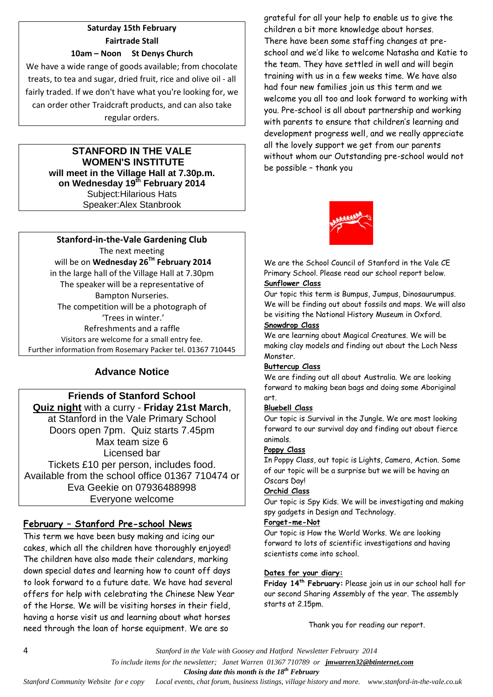#### **Saturday 15th February Fairtrade Stall 10am – Noon St Denys Church**

We have a wide range of goods available; from chocolate treats, to tea and sugar, dried fruit, rice and olive oil - all fairly traded. If we don't have what you're looking for, we can order other Traidcraft products, and can also take regular orders.

#### **STANFORD IN THE VALE WOMEN'S INSTITUTE will meet in the Village Hall at 7.30p.m. on Wednesday 19th February 2014** Subject:Hilarious Hats Speaker:Alex Stanbrook

**Stanford-in-the-Vale Gardening Club** The next meeting will be on **Wednesday 26TH February 2014** in the large hall of the Village Hall at 7.30pm The speaker will be a representative of Bampton Nurseries. The competition will be a photograph of 'Trees in winter.' Refreshments and a raffle Visitors are welcome for a small entry fee. Further information from Rosemary Packer tel. 01367 710445

## **Advance Notice**

### **Friends of Stanford School Quiz night** with a curry - **Friday 21st March**, at Stanford in the Vale Primary School Doors open 7pm. Quiz starts 7.45pm Max team size 6 Licensed bar Tickets £10 per person, includes food. Available from the school office 01367 710474 or Eva Geekie on 07936488998 Everyone welcome

### **February – Stanford Pre-school News**

This term we have been busy making and icing our cakes, which all the children have thoroughly enjoyed! The children have also made their calendars, marking down special dates and learning how to count off days to look forward to a future date. We have had several offers for help with celebrating the Chinese New Year of the Horse. We will be visiting horses in their field, having a horse visit us and learning about what horses need through the loan of horse equipment. We are so

grateful for all your help to enable us to give the children a bit more knowledge about horses. There have been some staffing changes at preschool and we'd like to welcome Natasha and Katie to the team. They have settled in well and will begin training with us in a few weeks time. We have also had four new families join us this term and we welcome you all too and look forward to working with you. Pre-school is all about partnership and working with parents to ensure that children's learning and development progress well, and we really appreciate all the lovely support we get from our parents without whom our Outstanding pre-school would not be possible – thank you



We are the School Council of Stanford in the Vale CE Primary School. Please read our school report below.

#### **Sunflower Class**

Our topic this term is Bumpus, Jumpus, Dinosaurumpus. We will be finding out about fossils and maps. We will also be visiting the National History Museum in Oxford.

#### **Snowdrop Class**

We are learning about Magical Creatures. We will be making clay models and finding out about the Loch Ness Monster.

#### **Buttercup Class**

We are finding out all about Australia. We are looking forward to making bean bags and doing some Aboriginal art.

#### **Bluebell Class**

Our topic is Survival in the Jungle. We are most looking forward to our survival day and finding out about fierce animals.

#### **Poppy Class**

In Poppy Class, out topic is Lights, Camera, Action. Some of our topic will be a surprise but we will be having an Oscars Day!

#### **Orchid Class**

Our topic is Spy Kids. We will be investigating and making spy gadgets in Design and Technology.

#### **Forget-me-Not**

Our topic is How the World Works. We are looking forward to lots of scientific investigations and having scientists come into school.

#### **Dates for your diary:**

**Friday 14th February:** Please join us in our school hall for our second Sharing Assembly of the year. The assembly starts at 2.15pm.

Thank you for reading our report.

4 *Stanford in the Vale with Goosey and Hatford Newsletter February 2014*

 *To include items for the newsletter; Janet Warren 01367 710789 or jmwarren32@btinternet.com*

 *Closing date this month is the 18th February*